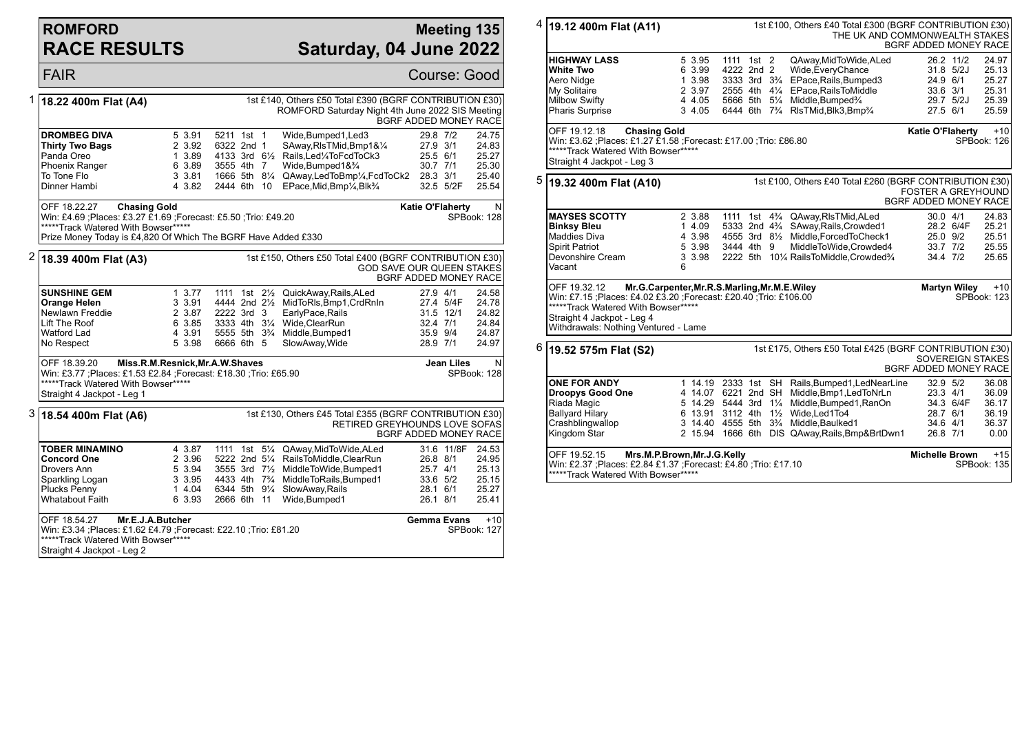#### **ROMFORD RACE RESULTS**

#### **Meeting 135 Saturday, 04 June 2022**

|   | <b>FAIR</b>                                                                                                                                                                                                                                                     |                                                           |                                        |             |                                                                                                                                                                                                                                                               |                                                                        | Course: Good                                                     |  |  |
|---|-----------------------------------------------------------------------------------------------------------------------------------------------------------------------------------------------------------------------------------------------------------------|-----------------------------------------------------------|----------------------------------------|-------------|---------------------------------------------------------------------------------------------------------------------------------------------------------------------------------------------------------------------------------------------------------------|------------------------------------------------------------------------|------------------------------------------------------------------|--|--|
| 1 | 18.22 400m Flat (A4)                                                                                                                                                                                                                                            |                                                           |                                        |             | 1st £140, Others £50 Total £390 (BGRF CONTRIBUTION £30)<br>ROMFORD Saturday Night 4th June 2022 SIS Meeting                                                                                                                                                   |                                                                        | BGRF ADDED MONEY RACE                                            |  |  |
|   | <b>DROMBEG DIVA</b><br><b>Thirty Two Bags</b><br>Panda Oreo<br><b>Phoenix Ranger</b><br>To Tone Flo<br>Dinner Hambi                                                                                                                                             | 5 3.91<br>2 3.92<br>1 3.89<br>6 3.89<br>3 3.81<br>4 3.82  | 5211 1st 1<br>6322 2nd 1<br>3555 4th 7 | 2444 6th 10 | Wide, Bumped1, Led3<br>SAway, RIsTMid, Bmp1&1/4<br>4133 3rd 61/2 Rails, Led 1/4 To Fcd To Ck3<br>Wide.Bumped1&3/4<br>1666 5th 81/4 QAway, Led To Bmp1/4, Fcd To Ck2 28.3 3/1<br>EPace, Mid, Bmp <sup>1</sup> / <sub>4</sub> , Blk <sup>3</sup> / <sub>4</sub> | 29.8 7/2<br>27.9 3/1<br>25.5 6/1<br>30.7 7/1<br>32.5 5/2F              | 24.75<br>24.83<br>25.27<br>25.30<br>25.40<br>25.54               |  |  |
|   | <b>Katie O'Flaherty</b><br>OFF 18.22.27<br><b>Chasing Gold</b><br>N<br>Win: £4.69 ; Places: £3.27 £1.69 ; Forecast: £5.50 ; Trio: £49.20<br>SPBook: 128<br>*****Track Watered With Bowser*****<br>Prize Money Today is £4,820 Of Which The BGRF Have Added £330 |                                                           |                                        |             |                                                                                                                                                                                                                                                               |                                                                        |                                                                  |  |  |
|   | $2$ 18.39 400m Flat (A3)                                                                                                                                                                                                                                        |                                                           |                                        |             | 1st £150, Others £50 Total £400 (BGRF CONTRIBUTION £30)                                                                                                                                                                                                       |                                                                        | <b>GOD SAVE OUR QUEEN STAKES</b><br><b>BGRF ADDED MONEY RACE</b> |  |  |
|   | <b>SUNSHINE GEM</b><br><b>Orange Helen</b><br>Newlawn Freddie<br>Lift The Roof<br>Watford Lad<br>No Respect                                                                                                                                                     | 1, 3.77<br>3 3.91<br>2 3.87<br>6 3.85<br>4 3.91<br>5 3.98 | 2222 3rd 3<br>6666 6th 5               |             | 1111 1st 21/ <sub>2</sub> QuickAway, Rails, ALed<br>4444 2nd 21/2 MidToRIs, Bmp1, CrdRnIn<br>EarlyPace, Rails<br>3333 4th 31/4 Wide.ClearRun<br>5555 5th 3 <sup>3</sup> / <sub>4</sub> Middle, Bumped 1<br>SlowAway, Wide                                     | 27.9 4/1<br>27.4 5/4F<br>31.5 12/1<br>32.4 7/1<br>35.9 9/4<br>28.9 7/1 | 24.58<br>24.78<br>24.82<br>24.84<br>24.87<br>24.97               |  |  |
|   | OFF 18.39.20<br>Miss.R.M.Resnick, Mr.A.W.Shaves<br><b>Jean Liles</b><br>N<br>Win: £3.77 ; Places: £1.53 £2.84 ; Forecast: £18.30 ; Trio: £65.90<br>SPBook: 128<br>*****Track Watered With Bowser*****<br>Straight 4 Jackpot - Leg 1                             |                                                           |                                        |             |                                                                                                                                                                                                                                                               |                                                                        |                                                                  |  |  |
|   | $3 $ 18.54 400m Flat (A6)                                                                                                                                                                                                                                       |                                                           |                                        |             | 1st £130, Others £45 Total £355 (BGRF CONTRIBUTION £30)<br>RETIRED GREYHOUNDS LOVE SOFAS                                                                                                                                                                      |                                                                        | <b>BGRF ADDED MONEY RACE</b>                                     |  |  |
|   | <b>TOBER MINAMINO</b><br><b>Concord One</b><br>Drovers Ann<br>Sparkling Logan<br>Plucks Penny<br><b>Whatabout Faith</b>                                                                                                                                         | 4 3.87<br>2 3.96<br>5 3.94<br>3 3.95<br>1 4.04<br>6 3.93  | 2666 6th 11                            |             | 1111 1st 51/4 QAway, Mid To Wide, ALed<br>5222 2nd 51/4 RailsToMiddle, ClearRun<br>3555 3rd 71/2 MiddleToWide, Bumped1<br>4433 4th 7 <sup>3</sup> / <sub>4</sub> MiddleToRails, Bumped1<br>6344 5th 91/4 SlowAway, Rails<br>Wide, Bumped1                     | 31.6 11/8F<br>26.8 8/1<br>25.7 4/1<br>33.6 5/2<br>28.1 6/1<br>26.1 8/1 | 24.53<br>24.95<br>25.13<br>25.15<br>25.27<br>25.41               |  |  |
|   | Mr.E.J.A.Butcher<br>OFF 18.54.27<br>Win: £3.34 ; Places: £1.62 £4.79 ; Forecast: £22.10 ; Trio: £81.20<br>*****Track Watered With Bowser*****<br>Straight 4 Jackpot - Leg 2                                                                                     |                                                           |                                        |             |                                                                                                                                                                                                                                                               | <b>Gemma Evans</b>                                                     | $+10$<br>SPBook: 127                                             |  |  |

| 4 | 19.12 400m Flat (A11)                                                                                                                                                                                                                            |   |                                                                  |                                                      |  |  | 1st £100, Others £40 Total £300 (BGRF CONTRIBUTION £30)<br>THE UK AND COMMONWEALTH STAKES                                                                                                                                               | BGRF ADDED MONEY RACE                                      |                        |                                                   |
|---|--------------------------------------------------------------------------------------------------------------------------------------------------------------------------------------------------------------------------------------------------|---|------------------------------------------------------------------|------------------------------------------------------|--|--|-----------------------------------------------------------------------------------------------------------------------------------------------------------------------------------------------------------------------------------------|------------------------------------------------------------|------------------------|---------------------------------------------------|
|   | <b>HIGHWAY LASS</b><br><b>White Two</b><br>Aero Nidge                                                                                                                                                                                            |   | 5 3.95<br>6 3.99<br>1 3.98                                       | 1111 1st 2<br>4222 2nd 2                             |  |  | QAway, MidToWide, ALed<br>Wide, Every Chance<br>3333 3rd 3 <sup>3</sup> / <sub>4</sub> EPace, Rails, Bumped 3                                                                                                                           | 24.9 6/1                                                   | 26.2 11/2<br>31.8 5/2J | 24.97<br>25.13<br>25.27                           |
|   | <b>My Solitaire</b><br><b>Milbow Swifty</b><br><b>Pharis Surprise</b>                                                                                                                                                                            |   | 2 3.97<br>4 4.05<br>3 4.05                                       | 2555 4th 41/4                                        |  |  | EPace.RailsToMiddle<br>5666 5th 51/4 Middle, Bumped3/4<br>6444 6th 7 <sup>3</sup> / <sub>4</sub> RIsTMid, Blk3, Bmp <sup>3</sup> / <sub>4</sub>                                                                                         | 33.6 3/1<br>27.5 6/1                                       | 29.7 5/2J              | 25.31<br>25.39<br>25.59                           |
|   | OFF 19.12.18<br><b>Chasing Gold</b><br><b>Katie O'Flaherty</b><br>Win: £3.62 ; Places: £1.27 £1.58 ; Forecast: £17.00 ; Trio: £86.80<br>SPBook: 126<br>*****Track Watered With Bowser*****<br>Straight 4 Jackpot - Leg 3                         |   |                                                                  |                                                      |  |  |                                                                                                                                                                                                                                         |                                                            |                        | $+10$                                             |
| 5 | 19.32 400m Flat (A10)                                                                                                                                                                                                                            |   |                                                                  |                                                      |  |  | 1st £100, Others £40 Total £260 (BGRF CONTRIBUTION £30)                                                                                                                                                                                 | <b>FOSTER A GREYHOUND</b><br><b>BGRF ADDED MONEY RACE</b>  |                        |                                                   |
|   | <b>MAYSES SCOTTY</b><br><b>Binksy Bleu</b><br>Maddies Diva<br><b>Spirit Patriot</b><br>Devonshire Cream<br>Vacant                                                                                                                                | 6 | 2 3.88<br>1 4.09<br>4 3.98<br>5 3.98<br>3 3.98                   | 5333 2nd 4 <sup>3</sup> / <sub>4</sub><br>3444 4th 9 |  |  | 1111 1st 4 <sup>3</sup> / <sub>4</sub> QAway, RIs TMid, ALed<br>SAway, Rails, Crowded1<br>4555 3rd 81/2 Middle, Forced To Check1<br>MiddleToWide,Crowded4<br>2222 5th 101/4 RailsToMiddle, Crowded <sup>3</sup> /4                      | 30.0 4/1<br>25.0 9/2<br>33.7 7/2<br>34.4 7/2               | 28.2 6/4F              | 24.83<br>25.21<br>25.51<br>25.55<br>25.65         |
|   | OFF 19.32.12<br>Mr.G.Carpenter, Mr.R.S.Marling, Mr.M.E.Wiley<br>Win: £7.15 ; Places: £4.02 £3.20 ; Forecast: £20.40 ; Trio: £106.00<br>*****Track Watered With Bowser*****<br>Straight 4 Jackpot - Leg 4<br>Withdrawals: Nothing Ventured - Lame |   |                                                                  |                                                      |  |  |                                                                                                                                                                                                                                         |                                                            | <b>Martyn Wiley</b>    | $+10$<br>SPBook: 123                              |
| 6 | 19.52 575m Flat (S2)                                                                                                                                                                                                                             |   |                                                                  |                                                      |  |  | 1st £175, Others £50 Total £425 (BGRF CONTRIBUTION £30)                                                                                                                                                                                 | <b>SOVEREIGN STAKES</b><br><b>BGRF ADDED MONEY RACE</b>    |                        |                                                   |
|   | <b>ONE FOR ANDY</b><br><b>Droopys Good One</b><br>Riada Magic<br><b>Ballyard Hilary</b><br>Crashblingwallop<br>Kingdom Star                                                                                                                      |   | 4 14.07 6221 2nd SH<br>5 14.29 5444 3rd 11/4<br>6 13.91 3112 4th |                                                      |  |  | 1 14.19 2333 1st SH Rails, Bumped 1, Led Near Line<br>Middle, Bmp1, LedToNrLn<br>Middle, Bumped1, RanOn<br>11/ <sub>2</sub> Wide, Led 1 To 4<br>3 14.40 4555 5th 3% Middle, Baulked1<br>2 15.94 1666 6th DIS QAway, Rails, Bmp& BrtDwn1 | 32.9 5/2<br>$23.3$ 4/1<br>28.7 6/1<br>34.6 4/1<br>26.8 7/1 | 34.3 6/4F              | 36.08<br>36.09<br>36.17<br>36.19<br>36.37<br>0.00 |
|   | Mrs.M.P.Brown, Mr.J.G.Kelly<br>OFF 19.52.15<br>Win: £2.37 ; Places: £2.84 £1.37 ; Forecast: £4.80 ; Trio: £17.10<br>*****Track Watered With Bowser*****                                                                                          |   |                                                                  |                                                      |  |  |                                                                                                                                                                                                                                         | <b>Michelle Brown</b>                                      |                        | $+15$<br>SPBook: 135                              |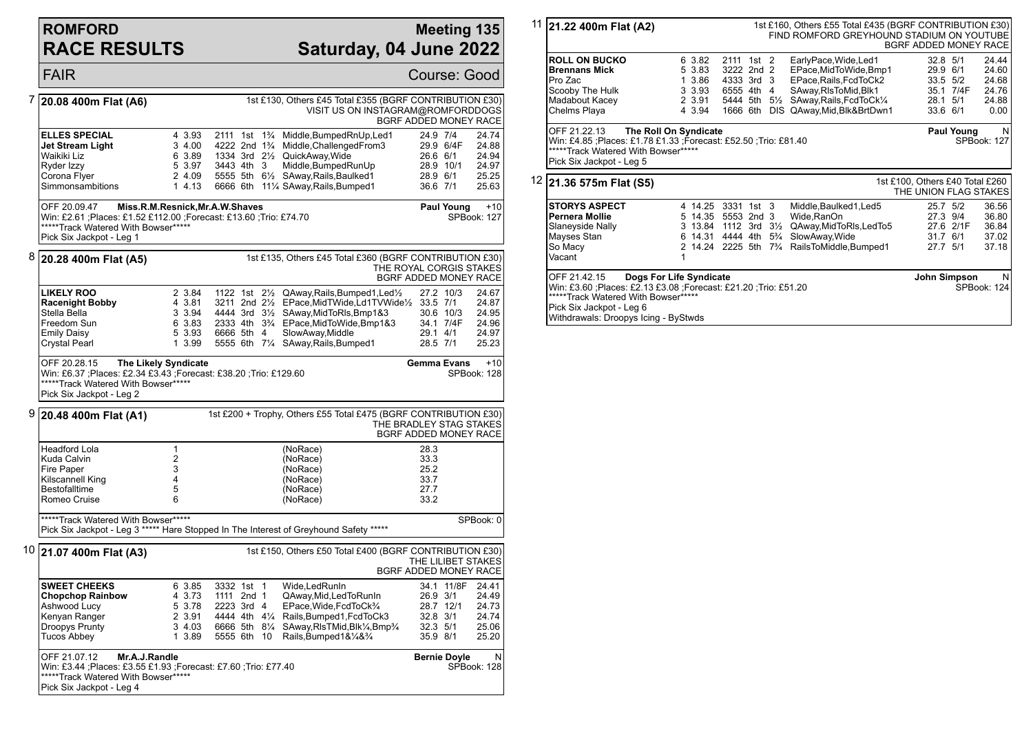## **ROMFORD RACE RESULTS**

#### **Meeting 135 Saturday, 04 June 2022**

|   | <b>FAIR</b>                                                                                                                                                                                                   |                                                          |                                                                                                |                                                                                                                                                                                                                                                                                                        | <b>Course: Good</b>                                                     |                                                    |  |  |  |
|---|---------------------------------------------------------------------------------------------------------------------------------------------------------------------------------------------------------------|----------------------------------------------------------|------------------------------------------------------------------------------------------------|--------------------------------------------------------------------------------------------------------------------------------------------------------------------------------------------------------------------------------------------------------------------------------------------------------|-------------------------------------------------------------------------|----------------------------------------------------|--|--|--|
| 7 | 1st £130, Others £45 Total £355 (BGRF CONTRIBUTION £30)<br>20.08 400m Flat (A6)<br>VISIT US ON INSTAGRAM@ROMFORDDOGS<br>BGRF ADDED MONEY RACE                                                                 |                                                          |                                                                                                |                                                                                                                                                                                                                                                                                                        |                                                                         |                                                    |  |  |  |
|   | <b>ELLES SPECIAL</b><br>Jet Stream Light<br>Waikiki Liz<br>Ryder Izzy                                                                                                                                         | 4 3.93<br>3 4.00<br>6 3.89<br>5 3.97                     | 2111 1st 1 <sup>3</sup> / <sub>4</sub><br>4222 2nd 1 <sup>3</sup> / <sub>4</sub><br>3443 4th 3 | Middle, BumpedRnUp, Led1<br>Middle, Challenged From 3<br>1334 3rd 21/2 QuickAway, Wide<br>Middle, BumpedRunUp                                                                                                                                                                                          | 24.9 7/4<br>29.9 6/4F<br>26.6 6/1<br>28.9 10/1                          | 24.74<br>24.88<br>24.94<br>24.97                   |  |  |  |
|   | Corona Flyer<br>Simmonsambitions                                                                                                                                                                              | 2 4.09<br>1, 4.13                                        |                                                                                                | 5555 5th 61/2 SAway, Rails, Baulked 1<br>6666 6th 111/4 SAway, Rails, Bumped 1                                                                                                                                                                                                                         | 28.9 6/1<br>36.6 7/1                                                    | 25.25<br>25.63                                     |  |  |  |
|   | OFF 20.09.47<br>Win: £2.61 ;Places: £1.52 £112.00 ;Forecast: £13.60 ;Trio: £74.70<br>*****Track Watered With Bowser*****<br>Pick Six Jackpot - Leg 1                                                          |                                                          | Miss.R.M.Resnick, Mr.A.W.Shaves                                                                |                                                                                                                                                                                                                                                                                                        | Paul Young                                                              | $+10$<br>SPBook: 127                               |  |  |  |
| 8 | 20.28 400m Flat (A5)                                                                                                                                                                                          |                                                          |                                                                                                | 1st £135, Others £45 Total £360 (BGRF CONTRIBUTION £30)                                                                                                                                                                                                                                                | THE ROYAL CORGIS STAKES<br>BGRF ADDED MONEY RACE                        |                                                    |  |  |  |
|   | <b>LIKELY ROO</b><br><b>Racenight Bobby</b><br>Stella Bella<br>Freedom Sun<br><b>Emily Daisy</b><br>Crystal Pearl                                                                                             | 2 3.84<br>4 3.81<br>3 3.94<br>6 3.83<br>5 3.93<br>1 3.99 | 6666 5th 4                                                                                     | 1122 1st 21/ <sub>2</sub> QAway, Rails, Bumped 1, Led <sup>1</sup> / <sub>2</sub><br>3211 2nd 21/2 EPace, Mid TWide, Ld1 TVWide1/2 33.5 7/1<br>4444 3rd 31/2 SAway, MidToRIs, Bmp1&3<br>2333 4th 3 <sup>3</sup> /4 EPace, MidToWide, Bmp1&3<br>SlowAway, Middle<br>5555 6th 71/4 SAway, Rails, Bumped1 | 27.2 10/3<br>30.6 10/3<br>34.1 7/4F<br>29.1 4/1<br>28.5 7/1             | 24.67<br>24.87<br>24.95<br>24.96<br>24.97<br>25.23 |  |  |  |
|   | OFF 20.28.15<br>Win: £6.37 ;Places: £2.34 £3.43 ;Forecast: £38.20 ;Trio: £129.60<br>*****Track Watered With Bowser*****<br>Pick Six Jackpot - Leg 2                                                           | The Likely Syndicate                                     |                                                                                                |                                                                                                                                                                                                                                                                                                        | <b>Gemma Evans</b>                                                      | $+10$<br>SPBook: 128                               |  |  |  |
| 9 | 1st £200 + Trophy, Others £55 Total £475 (BGRF CONTRIBUTION £30)<br>20.48 400m Flat (A1)<br>THE BRADLEY STAG STAKES<br><b>BGRF ADDED MONEY RACE</b>                                                           |                                                          |                                                                                                |                                                                                                                                                                                                                                                                                                        |                                                                         |                                                    |  |  |  |
|   | <b>Headford Lola</b><br>Kuda Calvin<br>Fire Paper<br>Kilscannell King<br>Bestofalltime<br>Romeo Cruise                                                                                                        | $\mathbf{1}$<br>2<br>3<br>4<br>5<br>6                    |                                                                                                | (NoRace)<br>(NoRace)<br>(NoRace)<br>(NoRace)<br>(NoRace)<br>(NoRace)                                                                                                                                                                                                                                   | 28.3<br>33.3<br>25.2<br>33.7<br>27.7<br>33.2                            |                                                    |  |  |  |
|   | *****Track Watered With Bowser*****<br>SPBook: 0<br>Pick Six Jackpot - Leg 3 ***** Hare Stopped In The Interest of Greyhound Safety *****                                                                     |                                                          |                                                                                                |                                                                                                                                                                                                                                                                                                        |                                                                         |                                                    |  |  |  |
|   | $10$ 21.07 400m Flat (A3)                                                                                                                                                                                     |                                                          |                                                                                                | 1st £150, Others £50 Total £400 (BGRF CONTRIBUTION £30)                                                                                                                                                                                                                                                | THE LILIBET STAKES<br>BGRF ADDED MONEY RACE                             |                                                    |  |  |  |
|   | <b>SWEET CHEEKS</b><br><b>Chopchop Rainbow</b><br>Ashwood Lucy<br>Kenyan Ranger<br>Droopys Prunty<br><b>Tucos Abbey</b>                                                                                       | 6 3.85<br>4 3.73<br>5 3.78<br>2 3.91<br>3 4.03<br>1 3.89 | 3332 1st 1<br>1111 2nd 1<br>2223 3rd 4<br>6666 5th 81/4<br>5555 6th 10                         | Wide, Led Run In<br>QAway,Mid,LedToRunIn<br>EPace, Wide, FcdToCk3/4<br>4444 4th 41/4 Rails, Bumped 1, Fcd To Ck 3<br>SAway, RIsTMid, Blk <sup>1</sup> / <sub>4</sub> , Bmp <sup>3</sup> / <sub>4</sub><br>Rails, Bumped 1& 1/4& 3/4                                                                    | 34.1 11/8F<br>26.9 3/1<br>28.7 12/1<br>32.8 3/1<br>32.3 5/1<br>35.9 8/1 | 24.41<br>24.49<br>24.73<br>24.74<br>25.06<br>25.20 |  |  |  |
|   | OFF 21.07.12<br>Mr.A.J.Randle<br><b>Bernie Doyle</b><br>N<br>Win: £3.44 ;Places: £3.55 £1.93 ;Forecast: £7.60 ;Trio: £77.40<br>SPBook: 128<br>*****Track Watered With Bowser*****<br>Pick Six Jackpot - Leg 4 |                                                          |                                                                                                |                                                                                                                                                                                                                                                                                                        |                                                                         |                                                    |  |  |  |

|    | 11 21.22 400m Flat (A2)                                                                                                                                                                                               |   |                                                                                            |                                                                 |  |                     | 1st £160, Others £55 Total £435 (BGRF CONTRIBUTION £30)<br>FIND ROMFORD GREYHOUND STADIUM ON YOUTUBE                           | BGRF ADDED MONEY RACE                                    |                                   |                                           |
|----|-----------------------------------------------------------------------------------------------------------------------------------------------------------------------------------------------------------------------|---|--------------------------------------------------------------------------------------------|-----------------------------------------------------------------|--|---------------------|--------------------------------------------------------------------------------------------------------------------------------|----------------------------------------------------------|-----------------------------------|-------------------------------------------|
|    | <b>ROLL ON BUCKO</b><br><b>Brennans Mick</b><br>Pro Zac<br>Scooby The Hulk<br>Madabout Kacey                                                                                                                          |   | 6 3.82<br>5 3.83<br>1 3.86<br>3 3.93<br>2 3.91                                             | 2111 1st 2<br>3222 2nd 2<br>4333 3rd 3<br>6555 4th<br>5444 5th  |  | 4<br>$5\frac{1}{2}$ | EarlyPace, Wide, Led1<br>EPace, MidToWide, Bmp1<br>EPace, Rails, FcdToCk2<br>SAway, RIsToMid, Blk1<br>SAway, Rails, FcdToCk1/4 | 32.8 5/1<br>29.9 6/1<br>33.5 5/2<br>28.1 5/1             | 35.1 7/4F                         | 24.44<br>24.60<br>24.68<br>24.76<br>24.88 |
|    | Chelms Playa                                                                                                                                                                                                          |   | 4 3.94                                                                                     | 1666 6th                                                        |  |                     | DIS QAway, Mid, Blk& BrtDwn1                                                                                                   | 33.6 6/1                                                 |                                   | 0.00                                      |
|    | OFF 21.22.13<br>The Roll On Syndicate<br>Win: £4.85 ;Places: £1.78 £1.33 ;Forecast: £52.50 ;Trio: £81.40<br>*****Track Watered With Bowser*****<br>Pick Six Jackpot - Leg 5                                           |   |                                                                                            |                                                                 |  |                     |                                                                                                                                |                                                          | Paul Young                        | N<br><b>SPBook: 127</b>                   |
| 12 | 21.36 575m Flat (S5)                                                                                                                                                                                                  |   |                                                                                            |                                                                 |  |                     |                                                                                                                                | 1st £100, Others £40 Total £260<br>THE UNION FLAG STAKES |                                   |                                           |
|    | <b>STORYS ASPECT</b><br>Pernera Mollie<br>Slaneyside Nally<br>Mayses Stan<br>So Macy<br>Vacant                                                                                                                        | 1 | 4 14.25<br>5 14.35<br>3 13.84<br>6 14.31<br>2 14.24 2225 5th 7 <sup>3</sup> / <sub>4</sub> | 3331 1st 3<br>5553 2nd 3<br>1112 3rd $3\frac{1}{2}$<br>4444 4th |  | $5\frac{3}{4}$      | Middle, Baulked 1, Led 5<br>Wide, RanOn<br>QAway,MidToRIs,LedTo5<br>SlowAway, Wide<br>RailsToMiddle, Bumped1                   | 25.7 5/2<br>27.7 5/1                                     | 27.3 9/4<br>27.6 2/1F<br>31.7 6/1 | 36.56<br>36.80<br>36.84<br>37.02<br>37.18 |
|    | Dogs For Life Syndicate<br>OFF 21.42.15<br>Win: £3.60 ;Places: £2.13 £3.08 ;Forecast: £21.20 ;Trio: £51.20<br>*****Track Watered With Bowser*****<br>Pick Six Jackpot - Leg 6<br>Withdrawals: Droopys Icing - ByStwds |   |                                                                                            |                                                                 |  |                     |                                                                                                                                | John Simpson                                             |                                   | N<br>SPBook: 124                          |